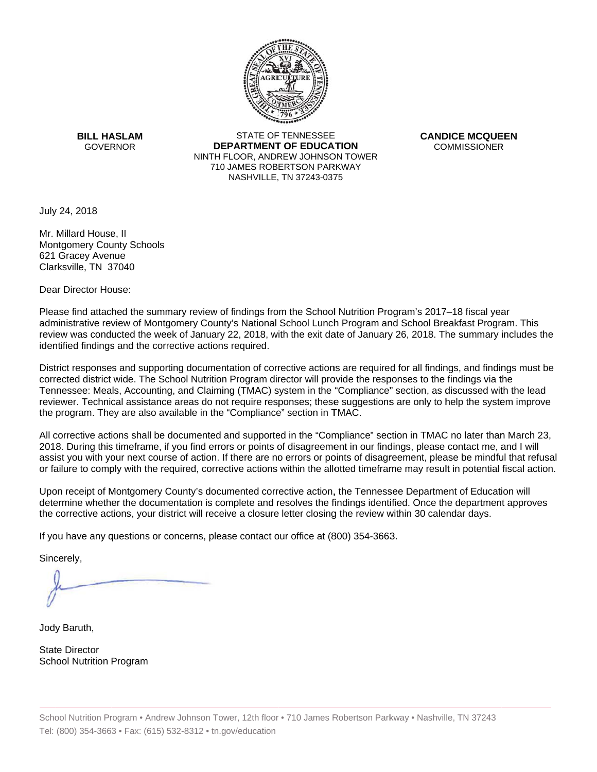

**BILL HASLAM** GOVERNOR **DEI** 

STATE OF TENNESSEE **EPARTMENT OF EDUCATION** NINTH FLOOR, ANDREW JOHNSON TOWER 710 JAMES ROBERTSON PARKWAY NASHVILLE,TN 37243-0375

**CANDICE MCQUEEN** CO OMMISSIONER

July 24, 2018

Mr. Millard House, II Montgomery County Schools 621 Gracey Avenue Clarksville, TN 37040

Dear Director House:

Please find attached the summary review of findings from the School Nutrition Program's 2017–18 fiscal year administrative review of Montgomery County's National School Lunch Program and School Breakfast Program. This review was conducted the week of January 22, 2018, with the exit date of January 26, 2018. The summary includes the identified findings and the corrective actions required.

Tennessee: Meals, Accounting, and Claiming (TMAC) system in the "Compliance" section, as discussed with the lead District responses and supporting documentation of corrective actions are required for all findings, and findings must be corrected district wide. The School Nutrition Program director will provide the responses to the findings via the reviewer. Technical assistance areas do not require responses; these suggestions are only to help the system improve the program. They are also available in the "Compliance" section in TMAC.

All corrective actions shall be documented and supported in the "Compliance" section in TMAC no later than March 23, 2018. During this timeframe, if you find errors or points of disagreement in our findings, please contact me, and I will assist you with your next course of action. If there are no errors or points of disagreement, please be mindful that refusal or failure to comply with the required, corrective actions within the allotted timeframe may result in potential fiscal action.

Upon receipt of Montgomery County's documented corrective action, the Tennessee Department of Education will determine whether the documentation is complete and resolves the findings identified. Once the department approves the corrective actions, your district will receive a closure letter closing the review within 30 calendar days.

If you have any questions or concerns, please contact our office at (800) 354-3663.

Sincerely,

Jody Baruth,

State Director School Nutrition Program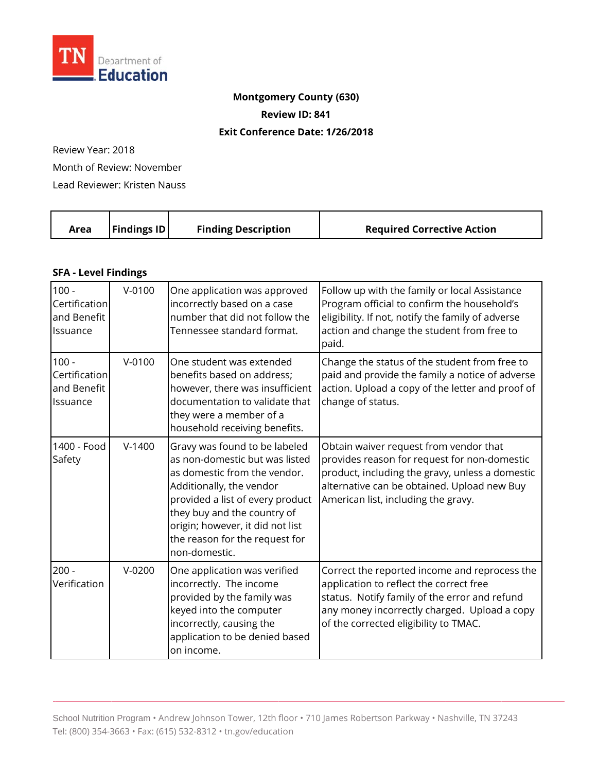

# **Montgomery County (630) Review ID: 841**

#### **Exit Conference Date: 1/26/2018**

Review Year: 2018 Month of Review: November

Lead Reviewer: Kristen Nauss

| Area | <b>Findings ID</b> | <b>Finding Description</b> | <b>Required Corrective Action</b> |
|------|--------------------|----------------------------|-----------------------------------|
|      |                    |                            |                                   |

#### **SFA - Level Findings**

| $100 -$<br>Certification<br>and Benefit<br>Issuance | $V - 0100$ | One application was approved<br>incorrectly based on a case<br>number that did not follow the<br>Tennessee standard format.                                                                                                                                                           | Follow up with the family or local Assistance<br>Program official to confirm the household's<br>eligibility. If not, notify the family of adverse<br>action and change the student from free to<br>paid.                           |
|-----------------------------------------------------|------------|---------------------------------------------------------------------------------------------------------------------------------------------------------------------------------------------------------------------------------------------------------------------------------------|------------------------------------------------------------------------------------------------------------------------------------------------------------------------------------------------------------------------------------|
| $100 -$<br>Certification<br>and Benefit<br>Issuance | $V - 0100$ | One student was extended<br>benefits based on address;<br>however, there was insufficient<br>documentation to validate that<br>they were a member of a<br>household receiving benefits.                                                                                               | Change the status of the student from free to<br>paid and provide the family a notice of adverse<br>action. Upload a copy of the letter and proof of<br>change of status.                                                          |
| 1400 - Food<br>Safety                               | $V-1400$   | Gravy was found to be labeled<br>as non-domestic but was listed<br>as domestic from the vendor.<br>Additionally, the vendor<br>provided a list of every product<br>they buy and the country of<br>origin; however, it did not list<br>the reason for the request for<br>non-domestic. | Obtain waiver request from vendor that<br>provides reason for request for non-domestic<br>product, including the gravy, unless a domestic<br>alternative can be obtained. Upload new Buy<br>American list, including the gravy.    |
| $200 -$<br>Verification                             | $V-0200$   | One application was verified<br>incorrectly. The income<br>provided by the family was<br>keyed into the computer<br>incorrectly, causing the<br>application to be denied based<br>on income.                                                                                          | Correct the reported income and reprocess the<br>application to reflect the correct free<br>status. Notify family of the error and refund<br>any money incorrectly charged. Upload a copy<br>of the corrected eligibility to TMAC. |